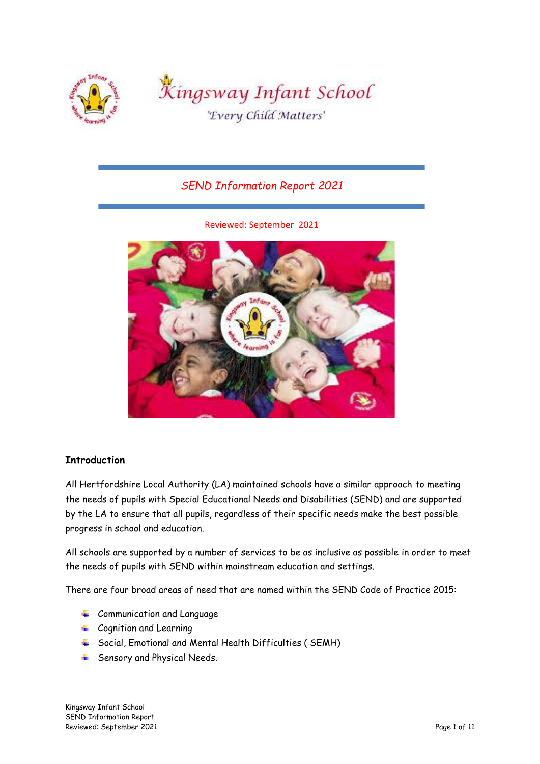

# *SEND Information Report 2021*

Reviewed: September 2021



## **Introduction**

All Hertfordshire Local Authority (LA) maintained schools have a similar approach to meeting the needs of pupils with Special Educational Needs and Disabilities (SEND) and are supported by the LA to ensure that all pupils, regardless of their specific needs make the best possible progress in school and education.

All schools are supported by a number of services to be as inclusive as possible in order to meet the needs of pupils with SEND within mainstream education and settings.

There are four broad areas of need that are named within the SEND Code of Practice 2015:

- + Communication and Language
- **←** Cognition and Learning
- Social, Emotional and Mental Health Difficulties ( SEMH)
- **4** Sensory and Physical Needs.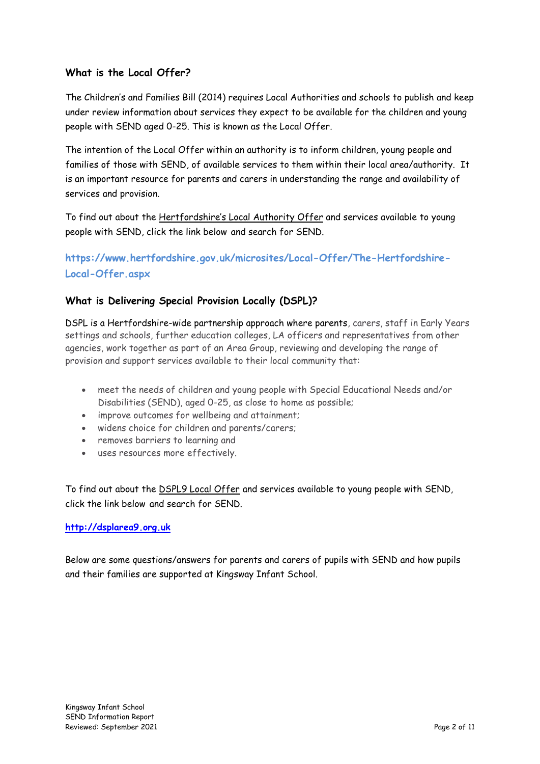## **What is the Local Offer?**

The Children's and Families Bill (2014) requires Local Authorities and schools to publish and keep under review information about services they expect to be available for the children and young people with SEND aged 0-25. This is known as the Local Offer.

The intention of the Local Offer within an authority is to inform children, young people and families of those with SEND, of available services to them within their local area/authority. It is an important resource for parents and carers in understanding the range and availability of services and provision.

To find out about the Hertfordshire's Local Authority Offer and services available to young people with SEND, click the link below and search for SEND.

**https://www.hertfordshire.gov.uk/microsites/Local-Offer/The-Hertfordshire-Local-Offer.aspx**

## **What is Delivering Special Provision Locally (DSPL)?**

DSPL is a Hertfordshire-wide partnership approach where parents, carers, staff in Early Years settings and schools, further education colleges, LA officers and representatives from other agencies, work together as part of an Area Group, reviewing and developing the range of provision and support services available to their local community that:

- meet the needs of children and young people with Special Educational Needs and/or Disabilities (SEND), aged 0-25, as close to home as possible;
- improve outcomes for wellbeing and attainment;
- widens choice for children and parents/carers;
- removes barriers to learning and
- uses resources more effectively.

To find out about the DSPL9 Local Offer and services available to young people with SEND, click the link below and search for SEND.

## **[http://dsplarea9.org.uk](http://dsplarea9.org.uk/)**

Below are some questions/answers for parents and carers of pupils with SEND and how pupils and their families are supported at Kingsway Infant School.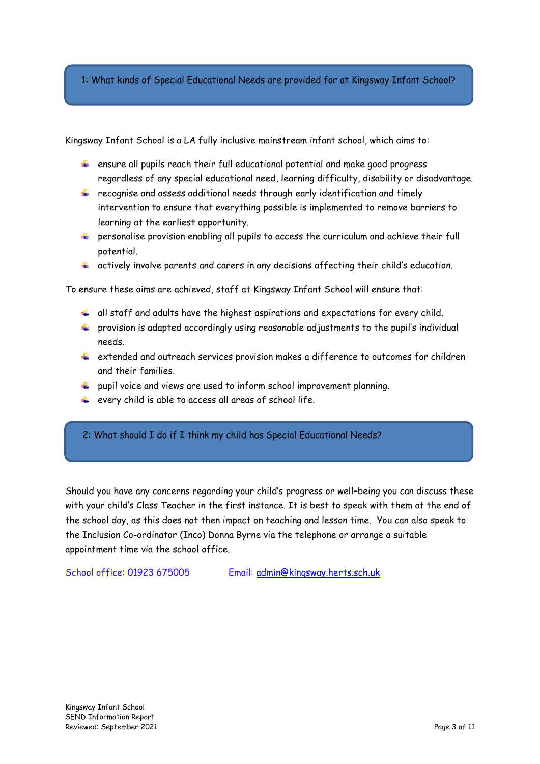1: What kinds of Special Educational Needs are provided for at Kingsway Infant School?

Kingsway Infant School is a LA fully inclusive mainstream infant school, which aims to:

- $\ddot{\phantom{1}}$  ensure all pupils reach their full educational potential and make good progress regardless of any special educational need, learning difficulty, disability or disadvantage.
- $\ddot{*}$  recognise and assess additional needs through early identification and timely intervention to ensure that everything possible is implemented to remove barriers to learning at the earliest opportunity.
- $\ddot{\phantom{1}}$  personalise provision enabling all pupils to access the curriculum and achieve their full potential.
- $\ddot{+}$  actively involve parents and carers in any decisions affecting their child's education.

To ensure these aims are achieved, staff at Kingsway Infant School will ensure that:

- $\ddot{\phantom{1}}$  all staff and adults have the highest aspirations and expectations for every child.
- $\ddot{\phantom{1}}$  provision is adapted accordingly using reasonable adjustments to the pupil's individual needs.
- extended and outreach services provision makes a difference to outcomes for children and their families.
- $\ddot{\bullet}$  pupil voice and views are used to inform school improvement planning.
- $\ddot{+}$  every child is able to access all areas of school life.

2: What should I do if I think my child has Special Educational Needs?

Should you have any concerns regarding your child's progress or well–being you can discuss these with your child's Class Teacher in the first instance. It is best to speak with them at the end of the school day, as this does not then impact on teaching and lesson time. You can also speak to the Inclusion Co-ordinator (Inco) Donna Byrne via the telephone or arrange a suitable appointment time via the school office.

School office: 01923 675005 Email: [admin@kingsway.herts.sch.uk](mailto:admin@kingsway.herts.sch.uk)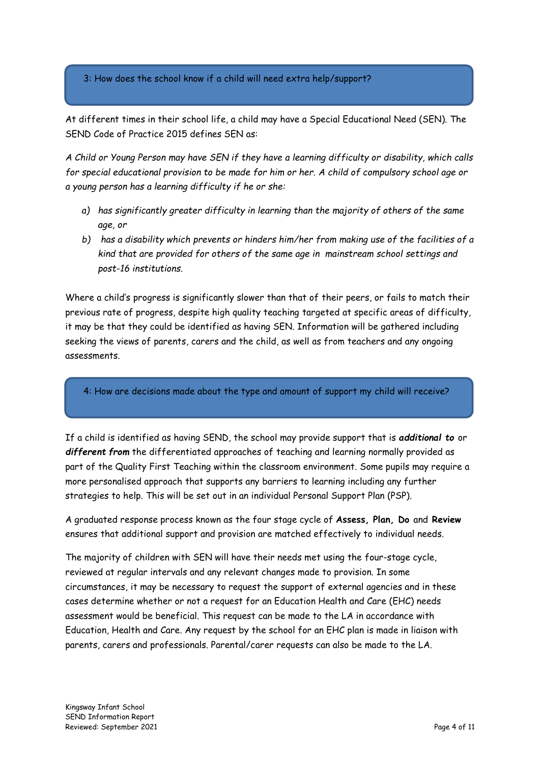3: How does the school know if a child will need extra help/support?

At different times in their school life, a child may have a Special Educational Need (SEN). The SEND Code of Practice 2015 defines SEN as:

*A Child or Young Person may have SEN if they have a learning difficulty or disability, which calls for special educational provision to be made for him or her. A child of compulsory school age or a young person has a learning difficulty if he or she:* 

- *a) has significantly greater difficulty in learning than the majority of others of the same age, or*
- *b) has a disability which prevents or hinders him/her from making use of the facilities of a kind that are provided for others of the same age in mainstream school settings and post-16 institutions.*

Where a child's progress is significantly slower than that of their peers, or fails to match their previous rate of progress, despite high quality teaching targeted at specific areas of difficulty, it may be that they could be identified as having SEN. Information will be gathered including seeking the views of parents, carers and the child, as well as from teachers and any ongoing assessments.

4: How are decisions made about the type and amount of support my child will receive?

If a child is identified as having SEND, the school may provide support that is *additional to* or *different from* the differentiated approaches of teaching and learning normally provided as part of the Quality First Teaching within the classroom environment. Some pupils may require a more personalised approach that supports any barriers to learning including any further strategies to help. This will be set out in an individual Personal Support Plan (PSP).

A graduated response process known as the four stage cycle of **Assess, Plan, Do** and **Review**  ensures that additional support and provision are matched effectively to individual needs.

The majority of children with SEN will have their needs met using the four-stage cycle, reviewed at regular intervals and any relevant changes made to provision. In some circumstances, it may be necessary to request the support of external agencies and in these cases determine whether or not a request for an Education Health and Care (EHC) needs assessment would be beneficial. This request can be made to the LA in accordance with Education, Health and Care. Any request by the school for an EHC plan is made in liaison with parents, carers and professionals. Parental/carer requests can also be made to the LA.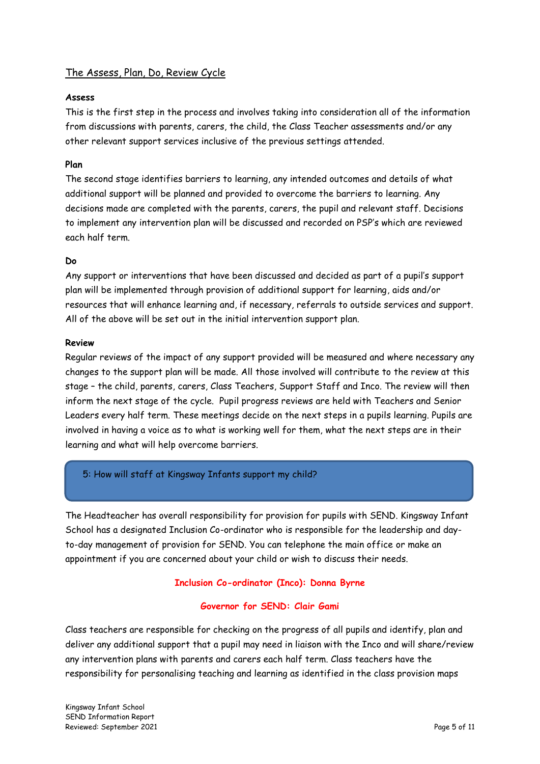## The Assess, Plan, Do, Review Cycle

#### **Assess**

This is the first step in the process and involves taking into consideration all of the information from discussions with parents, carers, the child, the Class Teacher assessments and/or any other relevant support services inclusive of the previous settings attended.

### **Plan**

The second stage identifies barriers to learning, any intended outcomes and details of what additional support will be planned and provided to overcome the barriers to learning. Any decisions made are completed with the parents, carers, the pupil and relevant staff. Decisions to implement any intervention plan will be discussed and recorded on PSP's which are reviewed each half term.

#### **Do**

Any support or interventions that have been discussed and decided as part of a pupil's support plan will be implemented through provision of additional support for learning, aids and/or resources that will enhance learning and, if necessary, referrals to outside services and support. All of the above will be set out in the initial intervention support plan.

#### **Review**

Regular reviews of the impact of any support provided will be measured and where necessary any changes to the support plan will be made. All those involved will contribute to the review at this stage – the child, parents, carers, Class Teachers, Support Staff and Inco. The review will then inform the next stage of the cycle. Pupil progress reviews are held with Teachers and Senior Leaders every half term. These meetings decide on the next steps in a pupils learning. Pupils are involved in having a voice as to what is working well for them, what the next steps are in their learning and what will help overcome barriers.

## 5: How will staff at Kingsway Infants support my child?

The Headteacher has overall responsibility for provision for pupils with SEND. Kingsway Infant School has a designated Inclusion Co-ordinator who is responsible for the leadership and dayto-day management of provision for SEND. You can telephone the main office or make an appointment if you are concerned about your child or wish to discuss their needs.

## **Inclusion Co-ordinator (Inco): Donna Byrne**

#### **Governor for SEND: Clair Gami**

Class teachers are responsible for checking on the progress of all pupils and identify, plan and deliver any additional support that a pupil may need in liaison with the Inco and will share/review any intervention plans with parents and carers each half term. Class teachers have the responsibility for personalising teaching and learning as identified in the class provision maps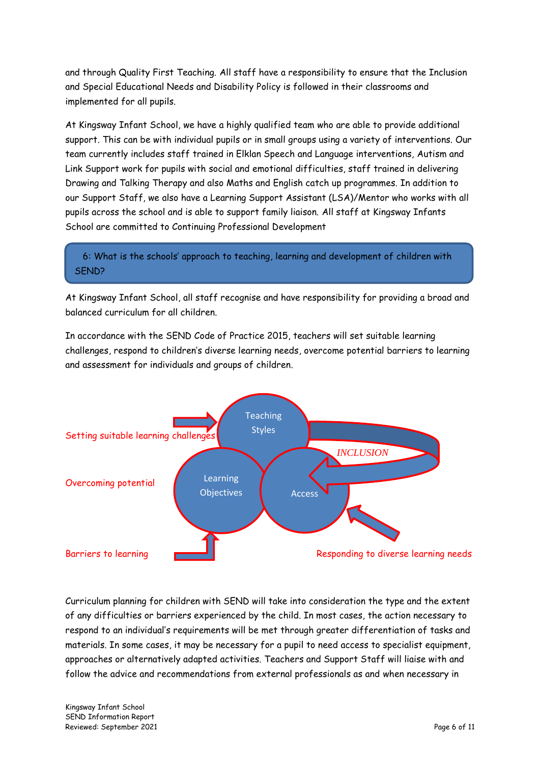and through Quality First Teaching. All staff have a responsibility to ensure that the Inclusion and Special Educational Needs and Disability Policy is followed in their classrooms and implemented for all pupils.

At Kingsway Infant School, we have a highly qualified team who are able to provide additional support. This can be with individual pupils or in small groups using a variety of interventions. Our team currently includes staff trained in Elklan Speech and Language interventions, Autism and Link Support work for pupils with social and emotional difficulties, staff trained in delivering Drawing and Talking Therapy and also Maths and English catch up programmes. In addition to our Support Staff, we also have a Learning Support Assistant (LSA)/Mentor who works with all pupils across the school and is able to support family liaison. All staff at Kingsway Infants School are committed to Continuing Professional Development

 6: What is the schools' approach to teaching, learning and development of children with SEND?

At Kingsway Infant School, all staff recognise and have responsibility for providing a broad and balanced curriculum for all children.

In accordance with the SEND Code of Practice 2015, teachers will set suitable learning challenges, respond to children's diverse learning needs, overcome potential barriers to learning and assessment for individuals and groups of children.



Curriculum planning for children with SEND will take into consideration the type and the extent of any difficulties or barriers experienced by the child. In most cases, the action necessary to respond to an individual's requirements will be met through greater differentiation of tasks and materials. In some cases, it may be necessary for a pupil to need access to specialist equipment, approaches or alternatively adapted activities. Teachers and Support Staff will liaise with and follow the advice and recommendations from external professionals as and when necessary in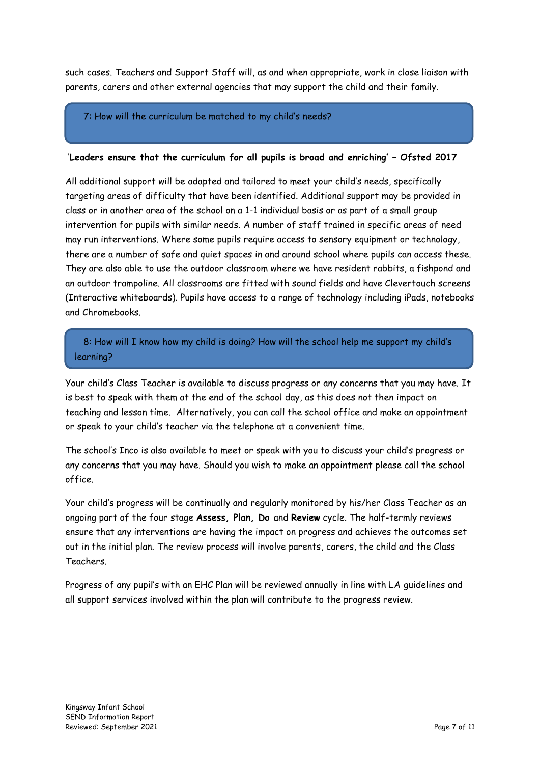such cases. Teachers and Support Staff will, as and when appropriate, work in close liaison with parents, carers and other external agencies that may support the child and their family.

### 7: How will the curriculum be matched to my child's needs?

#### '**Leaders ensure that the curriculum for all pupils is broad and enriching' – Ofsted 2017**

All additional support will be adapted and tailored to meet your child's needs, specifically targeting areas of difficulty that have been identified. Additional support may be provided in class or in another area of the school on a 1-1 individual basis or as part of a small group intervention for pupils with similar needs. A number of staff trained in specific areas of need may run interventions. Where some pupils require access to sensory equipment or technology, there are a number of safe and quiet spaces in and around school where pupils can access these. They are also able to use the outdoor classroom where we have resident rabbits, a fishpond and an outdoor trampoline. All classrooms are fitted with sound fields and have Clevertouch screens (Interactive whiteboards). Pupils have access to a range of technology including iPads, notebooks and Chromebooks.

 8: How will I know how my child is doing? How will the school help me support my child's learning?

Your child's Class Teacher is available to discuss progress or any concerns that you may have. It is best to speak with them at the end of the school day, as this does not then impact on teaching and lesson time. Alternatively, you can call the school office and make an appointment or speak to your child's teacher via the telephone at a convenient time.

The school's Inco is also available to meet or speak with you to discuss your child's progress or any concerns that you may have. Should you wish to make an appointment please call the school office.

Your child's progress will be continually and regularly monitored by his/her Class Teacher as an ongoing part of the four stage **Assess, Plan, Do** and **Review** cycle. The half-termly reviews ensure that any interventions are having the impact on progress and achieves the outcomes set out in the initial plan. The review process will involve parents, carers, the child and the Class Teachers.

Progress of any pupil's with an EHC Plan will be reviewed annually in line with LA guidelines and all support services involved within the plan will contribute to the progress review.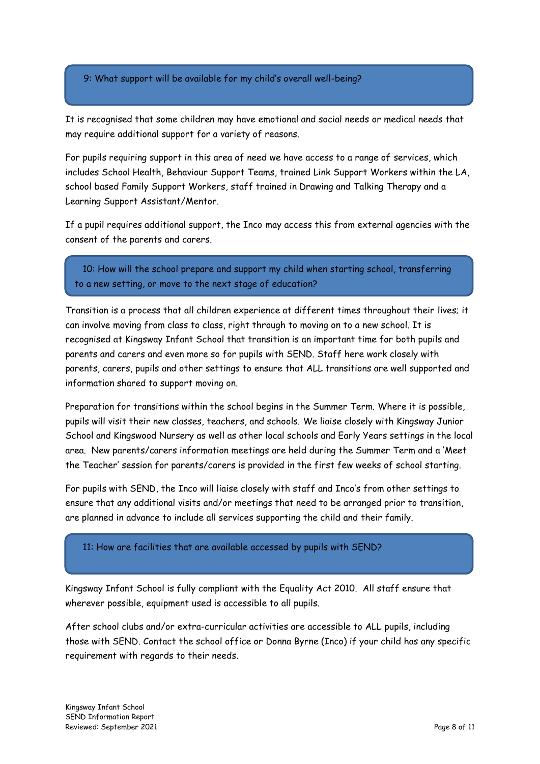9: What support will be available for my child's overall well-being?

It is recognised that some children may have emotional and social needs or medical needs that may require additional support for a variety of reasons.

For pupils requiring support in this area of need we have access to a range of services, which includes School Health, Behaviour Support Teams, trained Link Support Workers within the LA, school based Family Support Workers, staff trained in Drawing and Talking Therapy and a Learning Support Assistant/Mentor.

If a pupil requires additional support, the Inco may access this from external agencies with the consent of the parents and carers.

 10: How will the school prepare and support my child when starting school, transferring to a new setting, or move to the next stage of education?

Transition is a process that all children experience at different times throughout their lives; it can involve moving from class to class, right through to moving on to a new school. It is recognised at Kingsway Infant School that transition is an important time for both pupils and parents and carers and even more so for pupils with SEND. Staff here work closely with parents, carers, pupils and other settings to ensure that ALL transitions are well supported and information shared to support moving on.

Preparation for transitions within the school begins in the Summer Term. Where it is possible, pupils will visit their new classes, teachers, and schools. We liaise closely with Kingsway Junior School and Kingswood Nursery as well as other local schools and Early Years settings in the local area. New parents/carers information meetings are held during the Summer Term and a 'Meet the Teacher' session for parents/carers is provided in the first few weeks of school starting.

For pupils with SEND, the Inco will liaise closely with staff and Inco's from other settings to ensure that any additional visits and/or meetings that need to be arranged prior to transition, are planned in advance to include all services supporting the child and their family.

11: How are facilities that are available accessed by pupils with SEND?

Kingsway Infant School is fully compliant with the Equality Act 2010. All staff ensure that wherever possible, equipment used is accessible to all pupils.

After school clubs and/or extra-curricular activities are accessible to ALL pupils, including those with SEND. Contact the school office or Donna Byrne (Inco) if your child has any specific requirement with regards to their needs.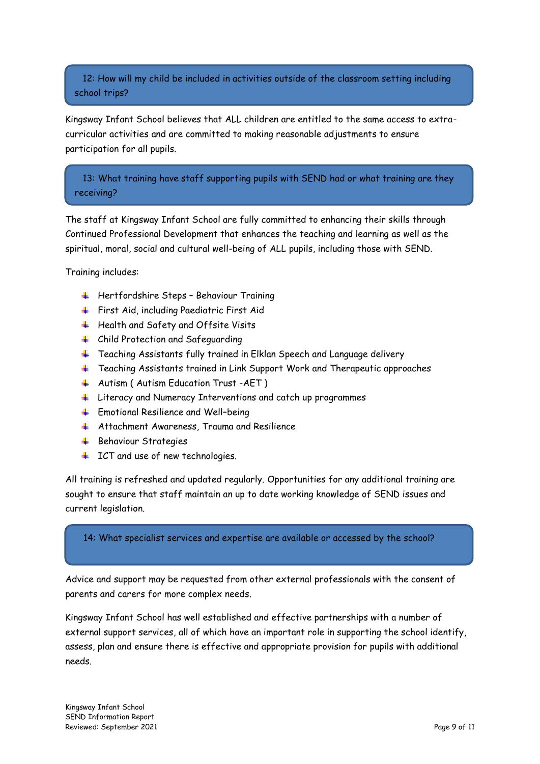12: How will my child be included in activities outside of the classroom setting including school trips?

Kingsway Infant School believes that ALL children are entitled to the same access to extracurricular activities and are committed to making reasonable adjustments to ensure participation for all pupils.

 13: What training have staff supporting pupils with SEND had or what training are they receiving?

The staff at Kingsway Infant School are fully committed to enhancing their skills through Continued Professional Development that enhances the teaching and learning as well as the spiritual, moral, social and cultural well-being of ALL pupils, including those with SEND.

Training includes:

- $\frac{1}{\sqrt{1}}$  Hertfordshire Steps Behaviour Training
- First Aid, including Paediatric First Aid
- $\ddotplus$  Health and Safety and Offsite Visits
- 4 Child Protection and Safeguarding
- Feaching Assistants fully trained in Elklan Speech and Language delivery
- $\ddotplus$  Teaching Assistants trained in Link Support Work and Therapeutic approaches
- 4 Autism (Autism Education Trust -AET)
- Literacy and Numeracy Interventions and catch up programmes
- $\frac{1}{\sqrt{2}}$  Emotional Resilience and Well-being
- $\uparrow$  Attachment Awareness, Trauma and Resilience
- **Behaviour Strategies**
- $\downarrow$  ICT and use of new technologies.

All training is refreshed and updated regularly. Opportunities for any additional training are sought to ensure that staff maintain an up to date working knowledge of SEND issues and current legislation.

#### 14: What specialist services and expertise are available or accessed by the school?

Advice and support may be requested from other external professionals with the consent of parents and carers for more complex needs.

Kingsway Infant School has well established and effective partnerships with a number of external support services, all of which have an important role in supporting the school identify, assess, plan and ensure there is effective and appropriate provision for pupils with additional needs.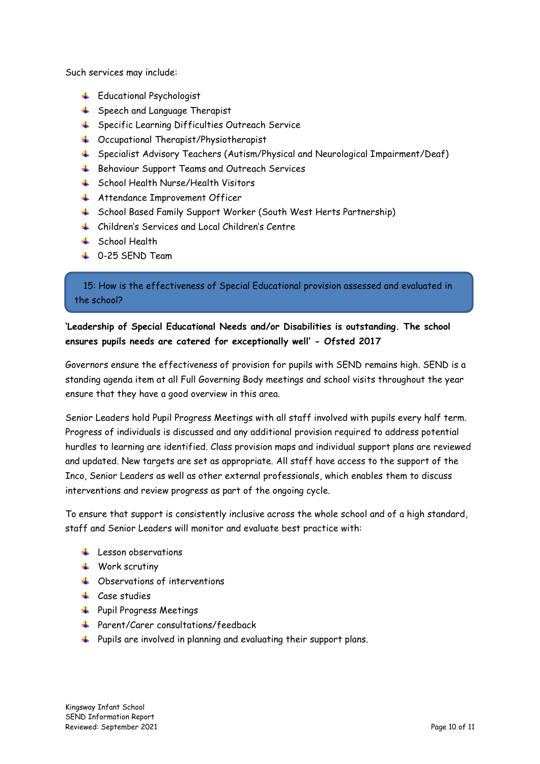Such services may include:

- **Educational Psychologist**
- **↓** Speech and Language Therapist
- Specific Learning Difficulties Outreach Service
- $\downarrow$  Occupational Therapist/Physiotherapist
- Specialist Advisory Teachers (Autism/Physical and Neurological Impairment/Deaf)
- **↓** Behaviour Support Teams and Outreach Services
- **↓** School Health Nurse/Health Visitors
- **Attendance Improvement Officer**
- School Based Family Support Worker (South West Herts Partnership)
- Children's Services and Local Children's Centre
- **↓** School Health
- $\perp$  0-25 SFND Team

 15: How is the effectiveness of Special Educational provision assessed and evaluated in the school?

## **'Leadership of Special Educational Needs and/or Disabilities is outstanding. The school ensures pupils needs are catered for exceptionally well' - Ofsted 2017**

Governors ensure the effectiveness of provision for pupils with SEND remains high. SEND is a standing agenda item at all Full Governing Body meetings and school visits throughout the year ensure that they have a good overview in this area.

Senior Leaders hold Pupil Progress Meetings with all staff involved with pupils every half term. Progress of individuals is discussed and any additional provision required to address potential hurdles to learning are identified. Class provision maps and individual support plans are reviewed and updated. New targets are set as appropriate. All staff have access to the support of the Inco, Senior Leaders as well as other external professionals, which enables them to discuss interventions and review progress as part of the ongoing cycle.

To ensure that support is consistently inclusive across the whole school and of a high standard, staff and Senior Leaders will monitor and evaluate best practice with:

- $\pm$  Lesson observations
- $\downarrow$  Work scrutiny
- **↓** Observations of interventions
- $\downarrow$  Case studies
- + Pupil Progress Meetings
- Parent/Carer consultations/feedback
- **+** Pupils are involved in planning and evaluating their support plans.